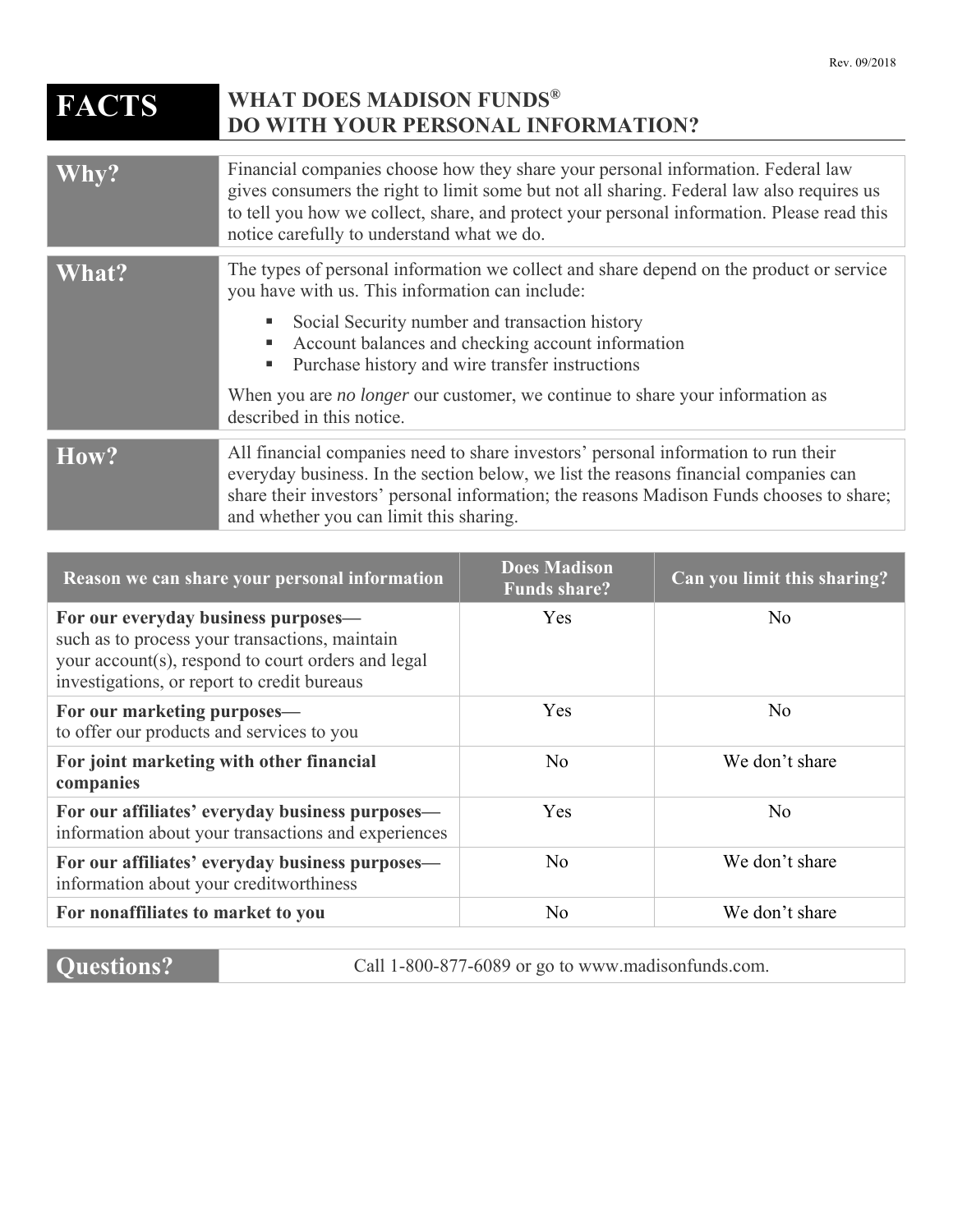## **FACTS** WHAT DOES MADISON FUNDS® **DO WITH YOUR PERSONAL INFORMATION?**

| Why?                      | Financial companies choose how they share your personal information. Federal law<br>gives consumers the right to limit some but not all sharing. Federal law also requires us<br>to tell you how we collect, share, and protect your personal information. Please read this<br>notice carefully to understand what we do.                                                                                                           |  |
|---------------------------|-------------------------------------------------------------------------------------------------------------------------------------------------------------------------------------------------------------------------------------------------------------------------------------------------------------------------------------------------------------------------------------------------------------------------------------|--|
| $\overline{\text{What?}}$ | The types of personal information we collect and share depend on the product or service<br>you have with us. This information can include:<br>Social Security number and transaction history<br>Account balances and checking account information<br>ш<br>Purchase history and wire transfer instructions<br>ш<br>When you are <i>no longer</i> our customer, we continue to share your information as<br>described in this notice. |  |
| How?                      | All financial companies need to share investors' personal information to run their<br>everyday business. In the section below, we list the reasons financial companies can<br>share their investors' personal information; the reasons Madison Funds chooses to share;<br>and whether you can limit this sharing.                                                                                                                   |  |

| Reason we can share your personal information                                                                                                                                              | <b>Does Madison</b><br><b>Funds share?</b> | Can you limit this sharing? |
|--------------------------------------------------------------------------------------------------------------------------------------------------------------------------------------------|--------------------------------------------|-----------------------------|
| For our everyday business purposes—<br>such as to process your transactions, maintain<br>your account(s), respond to court orders and legal<br>investigations, or report to credit bureaus | Yes                                        | No.                         |
| For our marketing purposes—<br>to offer our products and services to you                                                                                                                   | Yes                                        | N <sub>o</sub>              |
| For joint marketing with other financial<br>companies                                                                                                                                      | N <sub>o</sub>                             | We don't share              |
| For our affiliates' everyday business purposes—<br>information about your transactions and experiences                                                                                     | Yes                                        | N <sub>o</sub>              |
| For our affiliates' everyday business purposes—<br>information about your creditworthiness                                                                                                 | N <sub>o</sub>                             | We don't share              |
| For nonaffiliates to market to you                                                                                                                                                         | N <sub>o</sub>                             | We don't share              |

**Questions?** Call 1-800-877-6089 or go to www.madisonfunds.com.